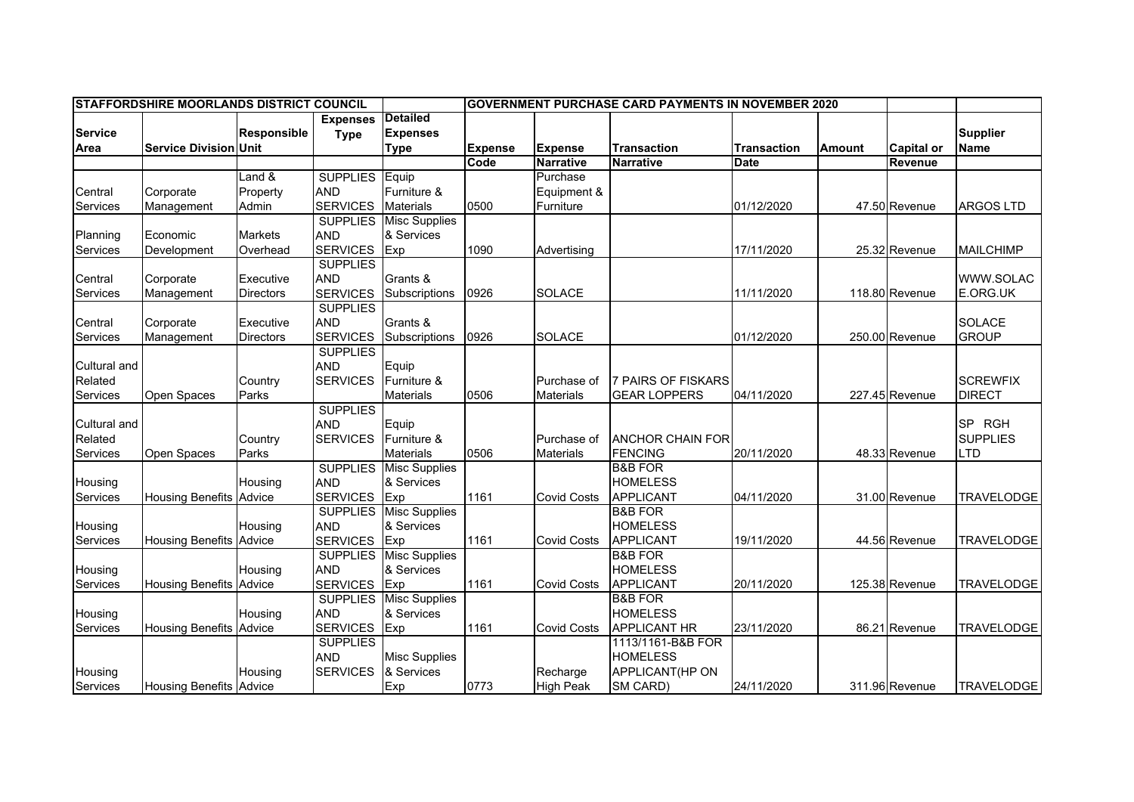|                | <b>STAFFORDSHIRE MOORLANDS DISTRICT COUNCIL</b> |                    |                 |                               | <b>GOVERNMENT PURCHASE CARD PAYMENTS IN NOVEMBER 2020</b> |                    |                           |                    |               |                   |                   |
|----------------|-------------------------------------------------|--------------------|-----------------|-------------------------------|-----------------------------------------------------------|--------------------|---------------------------|--------------------|---------------|-------------------|-------------------|
|                |                                                 |                    | <b>Expenses</b> | <b>Detailed</b>               |                                                           |                    |                           |                    |               |                   |                   |
| <b>Service</b> |                                                 | <b>Responsible</b> | <b>Type</b>     | <b>Expenses</b>               |                                                           |                    |                           |                    |               |                   | <b>Supplier</b>   |
| Area           | <b>Service Division Unit</b>                    |                    |                 | <b>Type</b>                   | <b>Expense</b>                                            | <b>Expense</b>     | <b>Transaction</b>        | <b>Transaction</b> | <b>Amount</b> | <b>Capital or</b> | <b>Name</b>       |
|                |                                                 |                    |                 |                               | Code                                                      | <b>Narrative</b>   | <b>Narrative</b>          | Date               |               | <b>Revenue</b>    |                   |
|                |                                                 | Land &             | <b>SUPPLIES</b> | Equip                         |                                                           | Purchase           |                           |                    |               |                   |                   |
| Central        | Corporate                                       | Property           | <b>AND</b>      | Furniture &                   |                                                           | Equipment &        |                           |                    |               |                   |                   |
| Services       | Management                                      | Admin              | <b>SERVICES</b> | <b>Materials</b>              | 0500                                                      | Furniture          |                           | 01/12/2020         |               | 47.50 Revenue     | <b>ARGOS LTD</b>  |
|                |                                                 |                    | <b>SUPPLIES</b> | <b>Misc Supplies</b>          |                                                           |                    |                           |                    |               |                   |                   |
| Planning       | Economic                                        | <b>Markets</b>     | <b>AND</b>      | & Services                    |                                                           |                    |                           |                    |               |                   |                   |
| Services       | Development                                     | Overhead           | <b>SERVICES</b> | Exp                           | 1090                                                      | Advertising        |                           | 17/11/2020         |               | 25.32 Revenue     | <b>MAILCHIMP</b>  |
|                |                                                 |                    | <b>SUPPLIES</b> |                               |                                                           |                    |                           |                    |               |                   |                   |
| Central        | Corporate                                       | Executive          | <b>AND</b>      | Grants &                      |                                                           |                    |                           |                    |               |                   | WWW.SOLAC         |
| Services       | Management                                      | <b>Directors</b>   | <b>SERVICES</b> | Subscriptions                 | 0926                                                      | <b>SOLACE</b>      |                           | 11/11/2020         |               | 118.80 Revenue    | E.ORG.UK          |
|                |                                                 |                    | <b>SUPPLIES</b> |                               |                                                           |                    |                           |                    |               |                   |                   |
| Central        | Corporate                                       | Executive          | <b>AND</b>      | Grants &                      |                                                           |                    |                           |                    |               |                   | <b>SOLACE</b>     |
| Services       | Management                                      | <b>Directors</b>   | <b>SERVICES</b> | Subscriptions                 | 0926                                                      | <b>SOLACE</b>      |                           | 01/12/2020         |               | 250.00 Revenue    | <b>GROUP</b>      |
|                |                                                 |                    | <b>SUPPLIES</b> |                               |                                                           |                    |                           |                    |               |                   |                   |
| Cultural and   |                                                 |                    | <b>AND</b>      | Equip                         |                                                           |                    |                           |                    |               |                   |                   |
| Related        |                                                 | Country            | <b>SERVICES</b> | Furniture &                   |                                                           | Purchase of        | <b>7 PAIRS OF FISKARS</b> |                    |               |                   | <b>SCREWFIX</b>   |
| Services       | Open Spaces                                     | Parks              |                 | <b>Materials</b>              | 0506                                                      | <b>Materials</b>   | <b>GEAR LOPPERS</b>       | 04/11/2020         |               | 227.45 Revenue    | <b>DIRECT</b>     |
|                |                                                 |                    | <b>SUPPLIES</b> |                               |                                                           |                    |                           |                    |               |                   |                   |
| Cultural and   |                                                 |                    | <b>AND</b>      | Equip                         |                                                           |                    |                           |                    |               |                   | SP RGH            |
| Related        |                                                 | Country            | <b>SERVICES</b> | Furniture &                   |                                                           | Purchase of        | <b>ANCHOR CHAIN FOR</b>   |                    |               |                   | <b>SUPPLIES</b>   |
| Services       | Open Spaces                                     | Parks              |                 | <b>Materials</b>              | 0506                                                      | <b>Materials</b>   | <b>FENCING</b>            | 20/11/2020         |               | 48.33 Revenue     | LTD               |
|                |                                                 |                    | <b>SUPPLIES</b> | <b>Misc Supplies</b>          |                                                           |                    | <b>B&amp;B FOR</b>        |                    |               |                   |                   |
| Housing        |                                                 | Housing            | <b>AND</b>      | & Services                    |                                                           |                    | <b>HOMELESS</b>           |                    |               |                   |                   |
| Services       | <b>Housing Benefits Advice</b>                  |                    | <b>SERVICES</b> | Exp                           | 1161                                                      | <b>Covid Costs</b> | <b>APPLICANT</b>          | 04/11/2020         |               | 31.00 Revenue     | <b>TRAVELODGE</b> |
|                |                                                 |                    | <b>SUPPLIES</b> | <b>Misc Supplies</b>          |                                                           |                    | <b>B&amp;B FOR</b>        |                    |               |                   |                   |
| Housing        |                                                 | Housing            | <b>AND</b>      | & Services                    |                                                           |                    | <b>HOMELESS</b>           |                    |               |                   |                   |
| Services       | <b>Housing Benefits Advice</b>                  |                    | <b>SERVICES</b> | Exp                           | 1161                                                      | <b>Covid Costs</b> | <b>APPLICANT</b>          | 19/11/2020         |               | 44.56 Revenue     | <b>TRAVELODGE</b> |
|                |                                                 |                    | <b>SUPPLIES</b> | <b>Misc Supplies</b>          |                                                           |                    | <b>B&amp;B FOR</b>        |                    |               |                   |                   |
| Housing        |                                                 | Housing            | <b>AND</b>      | & Services                    |                                                           |                    | <b>HOMELESS</b>           |                    |               |                   |                   |
| Services       | <b>Housing Benefits Advice</b>                  |                    | <b>SERVICES</b> | Exp                           | 1161                                                      | <b>Covid Costs</b> | <b>APPLICANT</b>          | 20/11/2020         |               | 125.38 Revenue    | <b>TRAVELODGE</b> |
|                |                                                 |                    |                 | <b>SUPPLIES</b> Misc Supplies |                                                           |                    | <b>B&amp;B FOR</b>        |                    |               |                   |                   |
| Housing        |                                                 | Housing            | <b>AND</b>      | & Services                    |                                                           |                    | <b>HOMELESS</b>           |                    |               |                   |                   |
| Services       | <b>Housing Benefits</b>                         | Advice             | <b>SERVICES</b> | Exp                           | 1161                                                      | <b>Covid Costs</b> | <b>APPLICANT HR</b>       | 23/11/2020         |               | 86.21 Revenue     | <b>TRAVELODGE</b> |
|                |                                                 |                    | <b>SUPPLIES</b> |                               |                                                           |                    | 1113/1161-B&B FOR         |                    |               |                   |                   |
|                |                                                 |                    | <b>AND</b>      | <b>Misc Supplies</b>          |                                                           |                    | <b>HOMELESS</b>           |                    |               |                   |                   |
| Housing        |                                                 | Housing            | <b>SERVICES</b> | & Services                    |                                                           | Recharge           | APPLICANT(HP ON           |                    |               |                   |                   |
| Services       | <b>Housing Benefits Advice</b>                  |                    |                 | Exp                           | 0773                                                      | <b>High Peak</b>   | SM CARD)                  | 24/11/2020         |               | 311.96 Revenue    | <b>TRAVELODGE</b> |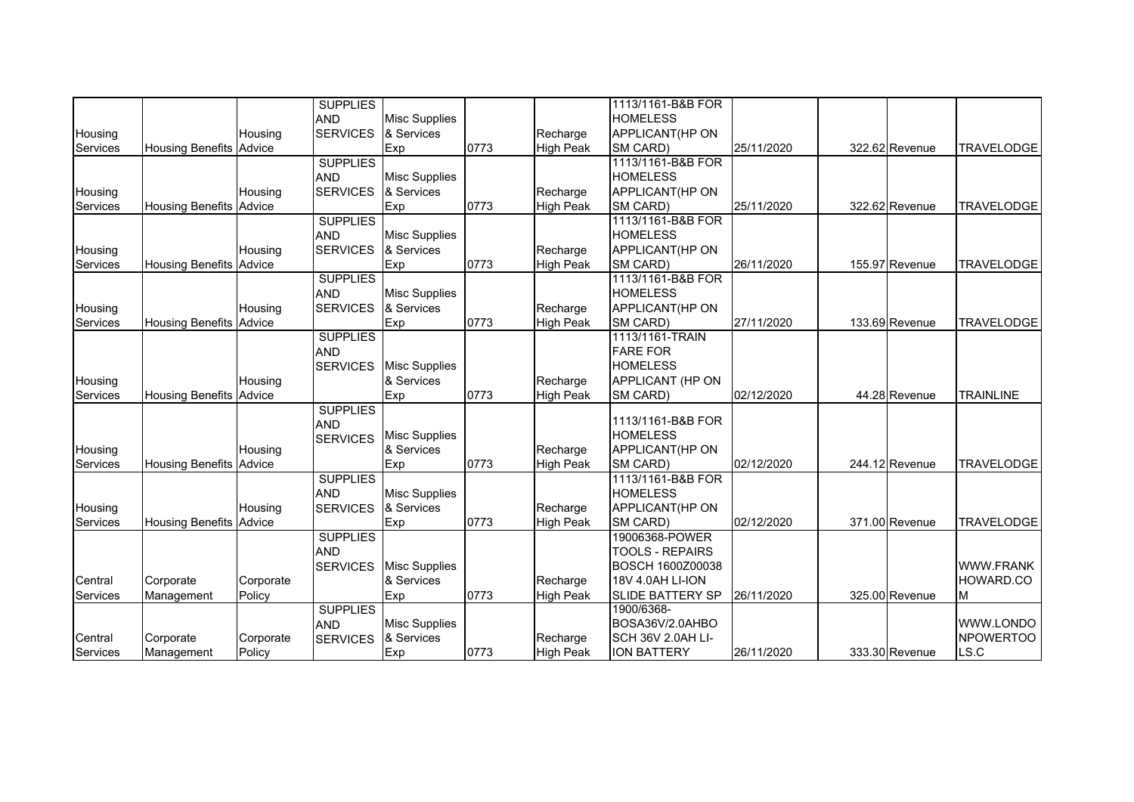|                 |                                |           | <b>SUPPLIES</b> |                      |      |                  | 1113/1161-B&B FOR       |            |                |                   |
|-----------------|--------------------------------|-----------|-----------------|----------------------|------|------------------|-------------------------|------------|----------------|-------------------|
|                 |                                |           | <b>AND</b>      | <b>Misc Supplies</b> |      |                  | <b>HOMELESS</b>         |            |                |                   |
| Housing         |                                | Housing   | <b>SERVICES</b> | & Services           |      | Recharge         | APPLICANT(HP ON         |            |                |                   |
| Services        | <b>Housing Benefits</b>        | Advice    |                 | Exp                  | 0773 | <b>High Peak</b> | SM CARD)                | 25/11/2020 | 322.62 Revenue | <b>TRAVELODGE</b> |
|                 |                                |           | <b>SUPPLIES</b> |                      |      |                  | 1113/1161-B&B FOR       |            |                |                   |
|                 |                                |           | <b>AND</b>      | <b>Misc Supplies</b> |      |                  | <b>HOMELESS</b>         |            |                |                   |
| Housing         |                                | Housing   | <b>SERVICES</b> | & Services           |      | Recharge         | APPLICANT(HP ON         |            |                |                   |
| <b>Services</b> | <b>Housing Benefits</b>        | Advice    |                 | Exp                  | 0773 | <b>High Peak</b> | SM CARD)                | 25/11/2020 | 322.62 Revenue | <b>TRAVELODGE</b> |
|                 |                                |           | <b>SUPPLIES</b> |                      |      |                  | 1113/1161-B&B FOR       |            |                |                   |
|                 |                                |           | <b>AND</b>      | <b>Misc Supplies</b> |      |                  | <b>HOMELESS</b>         |            |                |                   |
| Housing         |                                | Housing   | <b>SERVICES</b> | & Services           |      | Recharge         | APPLICANT(HP ON         |            |                |                   |
| <b>Services</b> | <b>Housing Benefits</b>        | Advice    |                 | Exp                  | 0773 | <b>High Peak</b> | SM CARD)                | 26/11/2020 | 155.97 Revenue | <b>TRAVELODGE</b> |
|                 |                                |           | <b>SUPPLIES</b> |                      |      |                  | 1113/1161-B&B FOR       |            |                |                   |
|                 |                                |           | <b>AND</b>      | <b>Misc Supplies</b> |      |                  | <b>HOMELESS</b>         |            |                |                   |
| Housing         |                                | Housing   | <b>SERVICES</b> | & Services           |      | Recharge         | APPLICANT(HP ON         |            |                |                   |
| <b>Services</b> | <b>Housing Benefits</b>        | Advice    |                 | Exp                  | 0773 | <b>High Peak</b> | SM CARD)                | 27/11/2020 | 133.69 Revenue | <b>TRAVELODGE</b> |
|                 |                                |           | <b>SUPPLIES</b> |                      |      |                  | 1113/1161-TRAIN         |            |                |                   |
|                 |                                |           | <b>AND</b>      |                      |      |                  | <b>FARE FOR</b>         |            |                |                   |
|                 |                                |           | <b>SERVICES</b> | <b>Misc Supplies</b> |      |                  | <b>HOMELESS</b>         |            |                |                   |
| Housing         |                                | Housing   |                 | & Services           |      | Recharge         | APPLICANT (HP ON        |            |                |                   |
| Services        | <b>Housing Benefits</b>        | Advice    |                 | Exp                  | 0773 | <b>High Peak</b> | SM CARD)                | 02/12/2020 | 44.28 Revenue  | <b>TRAINLINE</b>  |
|                 |                                |           | <b>SUPPLIES</b> |                      |      |                  |                         |            |                |                   |
|                 |                                |           | <b>AND</b>      |                      |      |                  | 1113/1161-B&B FOR       |            |                |                   |
|                 |                                |           | <b>SERVICES</b> | <b>Misc Supplies</b> |      |                  | <b>HOMELESS</b>         |            |                |                   |
| Housing         |                                | Housing   |                 | & Services           |      | Recharge         | APPLICANT(HP ON         |            |                |                   |
| Services        | <b>Housing Benefits</b>        | Advice    |                 | Exp                  | 0773 | <b>High Peak</b> | SM CARD)                | 02/12/2020 | 244.12 Revenue | <b>TRAVELODGE</b> |
|                 |                                |           | <b>SUPPLIES</b> |                      |      |                  | 1113/1161-B&B FOR       |            |                |                   |
|                 |                                |           | <b>AND</b>      | <b>Misc Supplies</b> |      |                  | <b>HOMELESS</b>         |            |                |                   |
| Housing         |                                | Housing   | <b>SERVICES</b> | & Services           |      | Recharge         | APPLICANT(HP ON         |            |                |                   |
| <b>Services</b> | <b>Housing Benefits Advice</b> |           |                 | Exp                  | 0773 | <b>High Peak</b> | SM CARD)                | 02/12/2020 | 371.00 Revenue | <b>TRAVELODGE</b> |
|                 |                                |           | <b>SUPPLIES</b> |                      |      |                  | 19006368-POWER          |            |                |                   |
|                 |                                |           | <b>AND</b>      |                      |      |                  | <b>TOOLS - REPAIRS</b>  |            |                |                   |
|                 |                                |           | <b>SERVICES</b> | <b>Misc Supplies</b> |      |                  | <b>BOSCH 1600Z00038</b> |            |                | <b>WWW.FRANK</b>  |
| Central         | Corporate                      | Corporate |                 | & Services           |      | Recharge         | 18V 4.0AH LI-ION        |            |                | HOWARD.CO         |
| <b>Services</b> | Management                     | Policy    |                 | Exp                  | 0773 | <b>High Peak</b> | <b>SLIDE BATTERY SP</b> | 26/11/2020 | 325.00 Revenue | M                 |
|                 |                                |           | <b>SUPPLIES</b> |                      |      |                  | 1900/6368-              |            |                |                   |
|                 |                                |           | <b>AND</b>      | <b>Misc Supplies</b> |      |                  | BOSA36V/2.0AHBO         |            |                | WWW.LONDO         |
| Central         | Corporate                      | Corporate | <b>SERVICES</b> | & Services           |      | Recharge         | SCH 36V 2.0AH LI-       |            |                | <b>NPOWERTOO</b>  |
| Services        | Management                     | Policy    |                 | Exp                  | 0773 | <b>High Peak</b> | <b>ION BATTERY</b>      | 26/11/2020 | 333.30 Revenue | LS.C              |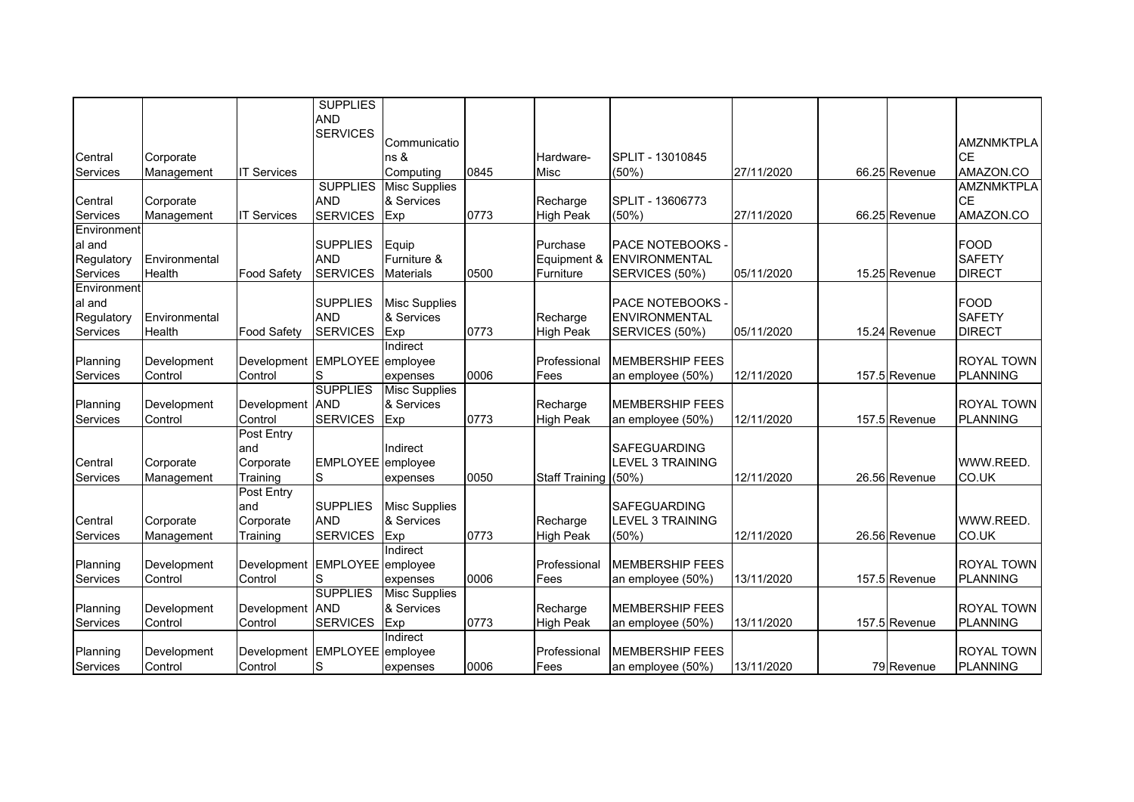|                 |               |                        | <b>SUPPLIES</b><br><b>AND</b> |                      |      |                      |                         |            |               |                                      |
|-----------------|---------------|------------------------|-------------------------------|----------------------|------|----------------------|-------------------------|------------|---------------|--------------------------------------|
|                 |               |                        | <b>SERVICES</b>               | Communicatio         |      |                      |                         |            |               | AMZNMKTPLA                           |
| Central         | Corporate     |                        |                               | ns &                 |      | Hardware-            | SPLIT - 13010845        |            |               | <b>CE</b>                            |
| Services        | Management    | <b>IT Services</b>     |                               | Computing            | 0845 | Misc                 | (50%)                   | 27/11/2020 | 66.25 Revenue | AMAZON.CO                            |
|                 |               |                        | <b>SUPPLIES</b>               | <b>Misc Supplies</b> |      |                      |                         |            |               | <b>AMZNMKTPLA</b>                    |
| Central         | Corporate     |                        | <b>AND</b>                    | & Services           |      | Recharge             | SPLIT - 13606773        |            |               | <b>CE</b>                            |
| Services        | Management    | <b>IT Services</b>     | <b>SERVICES</b>               | Exp                  | 0773 | <b>High Peak</b>     | $(50\%)$                | 27/11/2020 | 66.25 Revenue | AMAZON.CO                            |
| Environment     |               |                        |                               |                      |      |                      |                         |            |               |                                      |
| al and          |               |                        | <b>SUPPLIES</b>               | Equip                |      | Purchase             | <b>PACE NOTEBOOKS -</b> |            |               | <b>FOOD</b>                          |
| Regulatory      | Environmental |                        | <b>AND</b>                    | Furniture &          |      | Equipment &          | <b>ENVIRONMENTAL</b>    |            |               | <b>SAFETY</b>                        |
| Services        | Health        | <b>Food Safety</b>     | <b>SERVICES</b>               | <b>Materials</b>     | 0500 | Furniture            | SERVICES (50%)          | 05/11/2020 | 15.25 Revenue | <b>DIRECT</b>                        |
| Environment     |               |                        |                               |                      |      |                      |                         |            |               |                                      |
| al and          |               |                        | <b>SUPPLIES</b>               | <b>Misc Supplies</b> |      |                      | PACE NOTEBOOKS -        |            |               | <b>FOOD</b>                          |
| Regulatory      | Environmental |                        | <b>AND</b>                    | & Services           |      | Recharge             | <b>ENVIRONMENTAL</b>    |            |               | <b>SAFETY</b>                        |
| Services        | Health        | <b>Food Safety</b>     | <b>SERVICES</b>               | Exp                  | 0773 | <b>High Peak</b>     | SERVICES (50%)          | 05/11/2020 | 15.24 Revenue | <b>DIRECT</b>                        |
|                 |               |                        |                               | Indirect             |      |                      |                         |            |               |                                      |
| Planning        | Development   | Development            | EMPLOYEE employee             |                      |      | Professional         | <b>MEMBERSHIP FEES</b>  |            |               | ROYAL TOWN                           |
| Services        | Control       | Control                | S<br><b>SUPPLIES</b>          | expenses             | 0006 | Fees                 | an employee (50%)       | 12/11/2020 | 157.5 Revenue | <b>PLANNING</b>                      |
|                 |               |                        |                               | <b>Misc Supplies</b> |      |                      |                         |            |               |                                      |
| Planning        | Development   | Development<br>Control | <b>AND</b><br><b>SERVICES</b> | & Services           | 0773 | Recharge             | <b>MEMBERSHIP FEES</b>  | 12/11/2020 |               | <b>ROYAL TOWN</b><br><b>PLANNING</b> |
| <b>Services</b> | Control       | Post Entry             |                               | Exp                  |      | <b>High Peak</b>     | an employee (50%)       |            | 157.5 Revenue |                                      |
|                 |               | land                   |                               | Indirect             |      |                      | <b>SAFEGUARDING</b>     |            |               |                                      |
| Central         | Corporate     | Corporate              | EMPLOYEE employee             |                      |      |                      | <b>LEVEL 3 TRAINING</b> |            |               | WWW.REED.                            |
| Services        | Management    | Training               | S                             | expenses             | 0050 | Staff Training (50%) |                         | 12/11/2020 | 26.56 Revenue | CO.UK                                |
|                 |               | Post Entry             |                               |                      |      |                      |                         |            |               |                                      |
|                 |               | land                   | <b>SUPPLIES</b>               | <b>Misc Supplies</b> |      |                      | <b>SAFEGUARDING</b>     |            |               |                                      |
| Central         | Corporate     | Corporate              | <b>AND</b>                    | & Services           |      | Recharge             | <b>LEVEL 3 TRAINING</b> |            |               | WWW.REED.                            |
| Services        | Management    | Training               | <b>SERVICES</b>               | Exp                  | 0773 | <b>High Peak</b>     | $(50\%)$                | 12/11/2020 | 26.56 Revenue | CO.UK                                |
|                 |               |                        |                               | Indirect             |      |                      |                         |            |               |                                      |
| Planning        | Development   | Development            | EMPLOYEE employee             |                      |      | Professional         | <b>MEMBERSHIP FEES</b>  |            |               | ROYAL TOWN                           |
| Services        | Control       | Control                | S                             | expenses             | 0006 | Fees                 | an employee (50%)       | 13/11/2020 | 157.5 Revenue | <b>PLANNING</b>                      |
|                 |               |                        | <b>SUPPLIES</b>               | <b>Misc Supplies</b> |      |                      |                         |            |               |                                      |
| Planning        | Development   | Development            | <b>AND</b>                    | & Services           |      | Recharge             | <b>MEMBERSHIP FEES</b>  |            |               | <b>ROYAL TOWN</b>                    |
| Services        | Control       | Control                | <b>SERVICES</b>               | Exp                  | 0773 | <b>High Peak</b>     | an employee (50%)       | 13/11/2020 | 157.5 Revenue | <b>PLANNING</b>                      |
|                 |               |                        |                               | Indirect             |      |                      |                         |            |               |                                      |
| Planning        | Development   | Development            | EMPLOYEE employee             |                      |      | Professional         | <b>MEMBERSHIP FEES</b>  |            |               | ROYAL TOWN                           |
| Services        | Control       | Control                | S                             | expenses             | 0006 | Fees                 | an employee (50%)       | 13/11/2020 | 79 Revenue    | <b>PLANNING</b>                      |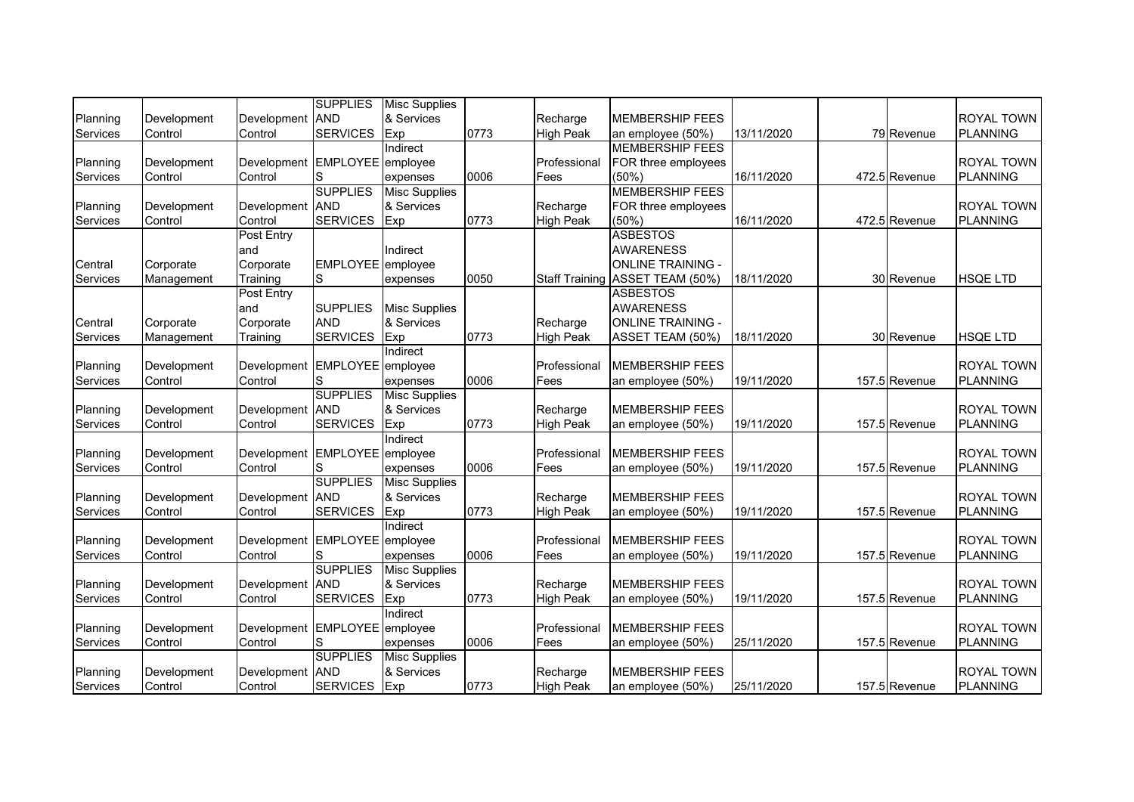|                 |             |                               | <b>SUPPLIES</b>          | <b>Misc Supplies</b> |      |                  |                                 |            |               |                   |
|-----------------|-------------|-------------------------------|--------------------------|----------------------|------|------------------|---------------------------------|------------|---------------|-------------------|
| Planning        | Development | Development                   | <b>AND</b>               | & Services           |      | Recharge         | <b>MEMBERSHIP FEES</b>          |            |               | <b>ROYAL TOWN</b> |
| Services        | Control     | Control                       | <b>SERVICES</b>          | Exp                  | 0773 | <b>High Peak</b> | an employee (50%)               | 13/11/2020 | 79 Revenue    | <b>PLANNING</b>   |
|                 |             |                               |                          | Indirect             |      |                  | <b>MEMBERSHIP FEES</b>          |            |               |                   |
| Planning        | Development | Development EMPLOYEE employee |                          |                      |      | Professional     | FOR three employees             |            |               | <b>ROYAL TOWN</b> |
| Services        | Control     | Control                       | S                        | expenses             | 0006 | Fees             | (50%)                           | 16/11/2020 | 472.5 Revenue | <b>PLANNING</b>   |
|                 |             |                               | <b>SUPPLIES</b>          | <b>Misc Supplies</b> |      |                  | <b>MEMBERSHIP FEES</b>          |            |               |                   |
| Planning        | Development | Development AND               |                          | & Services           |      | Recharge         | FOR three employees             |            |               | <b>ROYAL TOWN</b> |
| Services        | Control     | Control                       | <b>SERVICES</b>          | Exp                  | 0773 | <b>High Peak</b> | (50%                            | 16/11/2020 | 472.5 Revenue | <b>PLANNING</b>   |
|                 |             | Post Entry                    |                          |                      |      |                  | <b>ASBESTOS</b>                 |            |               |                   |
|                 |             | and                           |                          | Indirect             |      |                  | <b>AWARENESS</b>                |            |               |                   |
| Central         | Corporate   | Corporate                     | EMPLOYEE employee        |                      |      |                  | <b>ONLINE TRAINING -</b>        |            |               |                   |
| Services        | Management  | Training                      | lS                       | expenses             | 0050 |                  | Staff Training ASSET TEAM (50%) | 18/11/2020 | 30 Revenue    | <b>HSQE LTD</b>   |
|                 |             | Post Entry                    |                          |                      |      |                  | <b>ASBESTOS</b>                 |            |               |                   |
|                 |             | and                           | <b>SUPPLIES</b>          | <b>Misc Supplies</b> |      |                  | <b>AWARENESS</b>                |            |               |                   |
| Central         | Corporate   | Corporate                     | <b>AND</b>               | & Services           |      | Recharge         | <b>ONLINE TRAINING -</b>        |            |               |                   |
| Services        | Management  | Training                      | <b>SERVICES</b>          | Exp                  | 0773 | <b>High Peak</b> | ASSET TEAM (50%)                | 18/11/2020 | 30 Revenue    | <b>HSQE LTD</b>   |
|                 |             |                               |                          | Indirect             |      |                  |                                 |            |               |                   |
| Planning        | Development | Development EMPLOYEE employee |                          |                      |      | Professional     | <b>MEMBERSHIP FEES</b>          |            |               | <b>ROYAL TOWN</b> |
| Services        | Control     | Control                       | S                        | expenses             | 0006 | Fees             | an employee (50%)               | 19/11/2020 | 157.5 Revenue | <b>PLANNING</b>   |
|                 |             |                               | <b>SUPPLIES</b>          | <b>Misc Supplies</b> |      |                  |                                 |            |               |                   |
| Planning        | Development | Development                   | <b>AND</b>               | & Services           |      | Recharge         | <b>MEMBERSHIP FEES</b>          |            |               | <b>ROYAL TOWN</b> |
| Services        | Control     | Control                       | <b>SERVICES</b>          | Exp                  | 0773 | <b>High Peak</b> | an employee (50%)               | 19/11/2020 | 157.5 Revenue | <b>PLANNING</b>   |
|                 |             |                               |                          | Indirect             |      |                  |                                 |            |               |                   |
| Planning        | Development | Development EMPLOYEE employee |                          |                      |      | Professional     | <b>MEMBERSHIP FEES</b>          |            |               | <b>ROYAL TOWN</b> |
| Services        | Control     | Control                       | S                        | expenses             | 0006 | Fees             | an employee (50%)               | 19/11/2020 | 157.5 Revenue | <b>PLANNING</b>   |
|                 |             |                               | <b>SUPPLIES</b>          | <b>Misc Supplies</b> |      |                  |                                 |            |               |                   |
| Planning        | Development | Development                   | <b>AND</b>               | & Services           |      | Recharge         | <b>MEMBERSHIP FEES</b>          |            |               | <b>ROYAL TOWN</b> |
| Services        | Control     | Control                       | <b>SERVICES</b>          | Exp                  | 0773 | <b>High Peak</b> | an employee (50%)               | 19/11/2020 | 157.5 Revenue | <b>PLANNING</b>   |
|                 |             |                               |                          | Indirect             |      |                  |                                 |            |               |                   |
| Planning        | Development | <b>Development</b>            | EMPLOYEE employee        |                      |      | Professional     | <b>MEMBERSHIP FEES</b>          |            |               | <b>ROYAL TOWN</b> |
| Services        | Control     | Control                       | S                        | expenses             | 0006 | Fees             | an employee (50%)               | 19/11/2020 | 157.5 Revenue | <b>PLANNING</b>   |
|                 |             |                               | <b>SUPPLIES</b>          | <b>Misc Supplies</b> |      |                  |                                 |            |               |                   |
| Planning        | Development | Development                   | <b>AND</b>               | & Services           |      | Recharge         | <b>MEMBERSHIP FEES</b>          |            |               | <b>ROYAL TOWN</b> |
| <b>Services</b> | Control     | Control                       | <b>SERVICES</b>          | Exp                  | 0773 | <b>High Peak</b> | an employee (50%)               | 19/11/2020 | 157.5 Revenue | <b>PLANNING</b>   |
|                 |             |                               |                          | Indirect             |      |                  |                                 |            |               |                   |
| Planning        | Development | Development                   | <b>EMPLOYEE</b> employee |                      |      | Professional     | <b>MEMBERSHIP FEES</b>          |            |               | <b>ROYAL TOWN</b> |
| <b>Services</b> | Control     | Control                       | lS                       | expenses             | 0006 | Fees             | an employee (50%)               | 25/11/2020 | 157.5 Revenue | <b>PLANNING</b>   |
|                 |             |                               | <b>SUPPLIES</b>          | <b>Misc Supplies</b> |      |                  |                                 |            |               |                   |
| Planning        | Development | Development                   | <b>AND</b>               | & Services           |      | Recharge         | <b>MEMBERSHIP FEES</b>          |            |               | <b>ROYAL TOWN</b> |
| Services        | Control     | Control                       | <b>SERVICES</b>          | Exp                  | 0773 | <b>High Peak</b> | an employee (50%)               | 25/11/2020 | 157.5 Revenue | <b>PLANNING</b>   |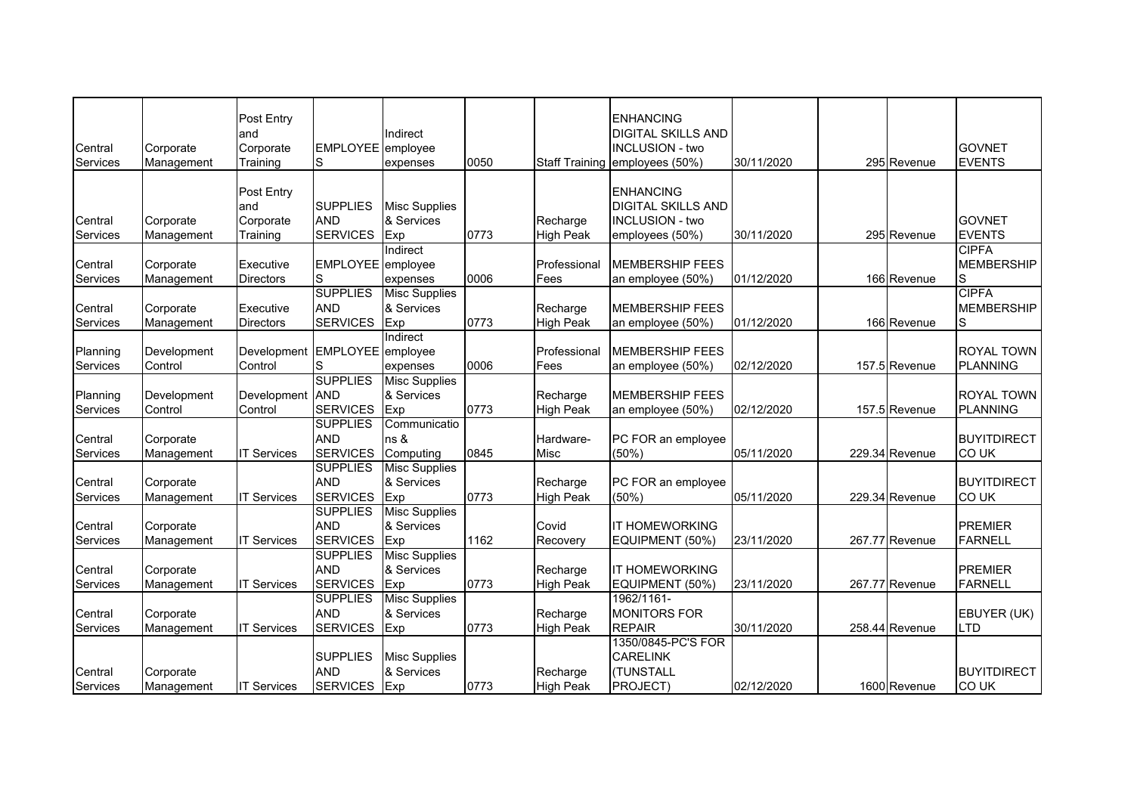|                     |             | Post Entry         |                   |                      |      |                              | <b>ENHANCING</b>               |            |                |                    |
|---------------------|-------------|--------------------|-------------------|----------------------|------|------------------------------|--------------------------------|------------|----------------|--------------------|
|                     |             | and                |                   | Indirect             |      |                              | <b>DIGITAL SKILLS AND</b>      |            |                |                    |
| Central             | Corporate   | Corporate          | EMPLOYEE employee |                      |      |                              | <b>INCLUSION - two</b>         |            |                | <b>GOVNET</b>      |
| Services            | Management  | Training           | S                 | expenses             | 0050 |                              | Staff Training employees (50%) | 30/11/2020 | 295 Revenue    | <b>EVENTS</b>      |
|                     |             |                    |                   |                      |      |                              |                                |            |                |                    |
|                     |             | Post Entry         |                   |                      |      |                              | <b>ENHANCING</b>               |            |                |                    |
|                     |             | and                | <b>SUPPLIES</b>   | <b>Misc Supplies</b> |      |                              | <b>DIGITAL SKILLS AND</b>      |            |                |                    |
|                     |             | Corporate          | <b>AND</b>        | & Services           |      |                              | <b>INCLUSION - two</b>         |            |                | <b>GOVNET</b>      |
| Central<br>Services | Corporate   | Training           | <b>SERVICES</b>   |                      | 0773 | Recharge<br><b>High Peak</b> |                                | 30/11/2020 | 295 Revenue    | <b>EVENTS</b>      |
|                     | Management  |                    |                   | Exp<br>Indirect      |      |                              | employees (50%)                |            |                | <b>CIPFA</b>       |
|                     |             |                    |                   |                      |      |                              |                                |            |                |                    |
| Central             | Corporate   | Executive          | EMPLOYEE employee |                      |      | Professional                 | <b>MEMBERSHIP FEES</b>         |            |                | <b>MEMBERSHIP</b>  |
| Services            | Management  | <b>Directors</b>   | S                 | expenses             | 0006 | Fees                         | an employee (50%)              | 01/12/2020 | 166 Revenue    | S                  |
|                     |             |                    | <b>SUPPLIES</b>   | <b>Misc Supplies</b> |      |                              |                                |            |                | <b>CIPFA</b>       |
| Central             | Corporate   | Executive          | <b>AND</b>        | & Services           |      | Recharge                     | <b>MEMBERSHIP FEES</b>         |            |                | <b>MEMBERSHIP</b>  |
| Services            | Management  | <b>Directors</b>   | <b>SERVICES</b>   | Exp                  | 0773 | <b>High Peak</b>             | an employee (50%)              | 01/12/2020 | 166 Revenue    | S                  |
|                     |             |                    |                   | Indirect             |      |                              |                                |            |                |                    |
| Planning            | Development | Development        | EMPLOYEE employee |                      |      | Professional                 | <b>MEMBERSHIP FEES</b>         |            |                | <b>ROYAL TOWN</b>  |
| Services            | Control     | Control            | S                 | expenses             | 0006 | Fees                         | an employee (50%)              | 02/12/2020 | 157.5 Revenue  | PLANNING           |
|                     |             |                    | <b>SUPPLIES</b>   | <b>Misc Supplies</b> |      |                              |                                |            |                |                    |
| Planning            | Development | Development        | <b>AND</b>        | & Services           |      | Recharge                     | <b>MEMBERSHIP FEES</b>         |            |                | <b>ROYAL TOWN</b>  |
| Services            | Control     | Control            | <b>SERVICES</b>   | Exp                  | 0773 | <b>High Peak</b>             | an employee (50%)              | 02/12/2020 | 157.5 Revenue  | <b>PLANNING</b>    |
|                     |             |                    | <b>SUPPLIES</b>   | Communicatio         |      |                              |                                |            |                |                    |
| Central             | Corporate   |                    | <b>AND</b>        | ns &                 |      | Hardware-                    | PC FOR an employee             |            |                | <b>BUYITDIRECT</b> |
| Services            | Management  | <b>IT Services</b> | <b>SERVICES</b>   | Computing            | 0845 | Misc                         | (50%)                          | 05/11/2020 | 229.34 Revenue | <b>COUK</b>        |
|                     |             |                    | <b>SUPPLIES</b>   | <b>Misc Supplies</b> |      |                              |                                |            |                |                    |
| Central             | Corporate   |                    | <b>AND</b>        | & Services           |      | Recharge                     | PC FOR an employee             |            |                | <b>BUYITDIRECT</b> |
| Services            | Management  | <b>IT Services</b> | <b>SERVICES</b>   | Exp                  | 0773 | <b>High Peak</b>             | (50%)                          | 05/11/2020 | 229.34 Revenue | CO UK              |
|                     |             |                    | <b>SUPPLIES</b>   | <b>Misc Supplies</b> |      |                              |                                |            |                |                    |
| Central             | Corporate   |                    | <b>AND</b>        | & Services           |      | Covid                        | <b>IT HOMEWORKING</b>          |            |                | <b>PREMIER</b>     |
| Services            | Management  | <b>IT Services</b> | <b>SERVICES</b>   | Exp                  | 1162 | Recovery                     | EQUIPMENT (50%)                | 23/11/2020 | 267.77 Revenue | <b>FARNELL</b>     |
|                     |             |                    | <b>SUPPLIES</b>   | <b>Misc Supplies</b> |      |                              |                                |            |                |                    |
| Central             | Corporate   |                    | <b>AND</b>        | & Services           |      | Recharge                     | <b>IT HOMEWORKING</b>          |            |                | <b>PREMIER</b>     |
| Services            | Management  | <b>IT Services</b> | <b>SERVICES</b>   | Exp                  | 0773 | <b>High Peak</b>             | EQUIPMENT (50%)                | 23/11/2020 | 267.77 Revenue | <b>FARNELL</b>     |
|                     |             |                    | <b>SUPPLIES</b>   | <b>Misc Supplies</b> |      |                              | 1962/1161-                     |            |                |                    |
| Central             | Corporate   |                    | <b>AND</b>        | & Services           |      | Recharge                     | <b>MONITORS FOR</b>            |            |                | EBUYER (UK)        |
| Services            | Management  | <b>IT Services</b> | <b>SERVICES</b>   | Exp                  | 0773 | <b>High Peak</b>             | <b>REPAIR</b>                  | 30/11/2020 | 258.44 Revenue | LTD                |
|                     |             |                    |                   |                      |      |                              | 1350/0845-PC'S FOR             |            |                |                    |
|                     |             |                    | <b>SUPPLIES</b>   | <b>Misc Supplies</b> |      |                              | <b>CARELINK</b>                |            |                |                    |
|                     |             |                    |                   |                      |      |                              |                                |            |                |                    |
| Central             | Corporate   |                    | <b>AND</b>        | & Services           |      | Recharge                     | (TUNSTALL                      |            |                | <b>BUYITDIRECT</b> |
| Services            | Management  | <b>IT Services</b> | <b>SERVICES</b>   | Exp                  | 0773 | <b>High Peak</b>             | PROJECT)                       | 02/12/2020 | 1600 Revenue   | <b>COUK</b>        |